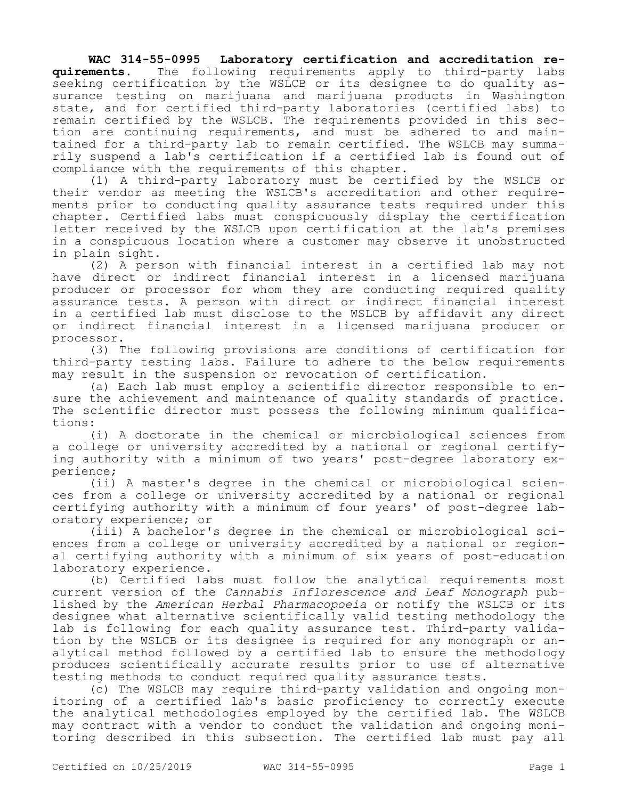**WAC 314-55-0995 Laboratory certification and accreditation requirements.** The following requirements apply to third-party labs seeking certification by the WSLCB or its designee to do quality assurance testing on marijuana and marijuana products in Washington state, and for certified third-party laboratories (certified labs) to remain certified by the WSLCB. The requirements provided in this section are continuing requirements, and must be adhered to and maintained for a third-party lab to remain certified. The WSLCB may summarily suspend a lab's certification if a certified lab is found out of compliance with the requirements of this chapter.

(1) A third-party laboratory must be certified by the WSLCB or their vendor as meeting the WSLCB's accreditation and other requirements prior to conducting quality assurance tests required under this chapter. Certified labs must conspicuously display the certification letter received by the WSLCB upon certification at the lab's premises in a conspicuous location where a customer may observe it unobstructed in plain sight.

(2) A person with financial interest in a certified lab may not have direct or indirect financial interest in a licensed marijuana producer or processor for whom they are conducting required quality assurance tests. A person with direct or indirect financial interest in a certified lab must disclose to the WSLCB by affidavit any direct or indirect financial interest in a licensed marijuana producer or processor.

(3) The following provisions are conditions of certification for third-party testing labs. Failure to adhere to the below requirements may result in the suspension or revocation of certification.

(a) Each lab must employ a scientific director responsible to ensure the achievement and maintenance of quality standards of practice. The scientific director must possess the following minimum qualifications:

(i) A doctorate in the chemical or microbiological sciences from a college or university accredited by a national or regional certifying authority with a minimum of two years' post-degree laboratory experience;

(ii) A master's degree in the chemical or microbiological sciences from a college or university accredited by a national or regional certifying authority with a minimum of four years' of post-degree laboratory experience; or

(iii) A bachelor's degree in the chemical or microbiological sciences from a college or university accredited by a national or regional certifying authority with a minimum of six years of post-education laboratory experience.

(b) Certified labs must follow the analytical requirements most current version of the *Cannabis Inflorescence and Leaf Monograph* published by the *American Herbal Pharmacopoeia* or notify the WSLCB or its designee what alternative scientifically valid testing methodology the lab is following for each quality assurance test. Third-party validation by the WSLCB or its designee is required for any monograph or analytical method followed by a certified lab to ensure the methodology produces scientifically accurate results prior to use of alternative testing methods to conduct required quality assurance tests.

(c) The WSLCB may require third-party validation and ongoing monitoring of a certified lab's basic proficiency to correctly execute the analytical methodologies employed by the certified lab. The WSLCB may contract with a vendor to conduct the validation and ongoing monitoring described in this subsection. The certified lab must pay all